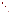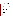**AGENCY: ENVIRONMENTAL PROTECTION AGENCY (EPA)** 

**TITLE: Sustainable Skylines Initiative** 

**ACTION: Request for Applications (RFA)** 

**RFA NUMBER: OAR-OAQPS-08-08** 

# **CATALOG OF FEDERAL DOMESTIC ASSISTANCE (CFDA) NO: 66.034**

**DATES:** The closing date for receipt of hard copy application packages is **December 17, 2008, 4:00 p.m., Eastern Standard Time (EST)**. Electronic submissions must be submitted via [www.grants.gov](http://www.grants.gov/) by **December 17, 2008, 11:59 p.m., EST**. Applications received after the closing date and time will not be considered for funding. Final applications will be requested from those eligible entities whose application has been successfully evaluated and preliminarily recommended for award.

To allow for efficient management of the competitive process, EPA requests submittal of an informal notice of an **"Intent to Apply"** by **November 21, 2008**. Submission of Intent to Apply is optional; it is a process management tool that will allow EPA to better anticipate the total staff time required for efficient review, evaluation, and selection of submitted applications.

**SUMMARY:** This notice announces the availability of funds and solicits applications from eligible entities to compete for financial assistance through the Sustainable Skylines Initiative (SSI). The SSI provides a framework to integrate transportation, energy, land use and air quality planning programs into projects that yield measurable air quality benefits in a relatively short period of time. SSI works with eligible entities to aid their communities to develop locally-led activities to help reduce emissions and promote sustainability with the goal of cleaner and healthier air. This is performed by participants working with EPA and other partners to increase community participation and leverage resources. The long-term goal of SSI is to help communities build self-sustaining, community-based partnerships that will continue to achieve positive environmental impacts, livability, and economic development benefits for many generations to come.

**FUNDING/AWARDS:** The total estimated funding available under this competitive opportunity is approximately \$250,000. EPA anticipates award of up to 5 cooperative agreements resulting from this solicitation, subject to availability of funding and the quality of applications received, ranging in value from \$50,000 to \$125,000.

# **CONTENTS BY SECTION**

- **I. Funding Opportunity Description**
- **II. Award Information**
- **III. Eligibility Information**
- **IV. Application and Submission Information**
- **V. Application Review Information**
- **VI. Award Administration Information**
- **VII. Agency Contacts**
- **VIII. Other Information**
- **I. FUNDING OPPORTUNITY DESCRIPTION**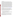#### **A. Background**

The Sustainable Skyline Initiative (SSI) is an EPA program designed to aid cities to reduce their emissions and promote sustainability with the goal of cleaner and healthier air. Participants work cooperatively with EPA and other partners to increase community participation and leverage resources. This effort will provide a framework that, when implemented in a project location (either an individual city or regional location), can achieve measurable emissions reductions within 3 years. The framework is designed to be replicable in various locations, but with the flexibility to meet the needs and priorities of the individual locations. EPA serves as a catalyst to help the area identify local issues, determine activities to address those issues, build partnerships within the community, and provide a framework of technical expertise and resources to help achieve the project objectives. The SSI program objectives include: making the project place-based and locally-driven; encouraging collaboration between multiple stakeholders at the public and private level; identifying and leveraging resources (both monetary and inkind) among public and private partners; and utilizing a consensus-based project selection approach through a core management group of stakeholders. SSI was piloted in Dallas, Texas and Kansas City, Kansas and Missouri. EPA is now planning to expand the effort nationally. Due to the early stages of the two pilots and the uncertainty of future activities not yet selected, it is difficult to determine total environmental results to be achieved through the overall SSI. However, just based on the pilots, SSI is expected to generate over \$100,000 in annual health benefits over a three year period starting in 2008. In addition, it is estimated that 5,800 tons of carbon dioxide  $(CO<sub>2</sub>)$  emission reductions, 2 tons of nitrogen oxide (NOx) emissions, and 2 tons of sulfur dioxide  $(SO<sub>2</sub>)$  emissions will be reduced by the activities already underway. For more information visit the SSI website at [www.epa.gov/sustainableskylines.](http://www.epa.gov/sustainableskylines)

### **B. Scope of Work**

Potential Sustainable Skyline Initiative project locations would need to address the following issues, such as air quality, climate change, transportation, energy, land use, green buildings and resource efficiency. A project must be in the nature of research, investigation, study, experiment or demonstration designed to advance the state of the knowledge in the chosen project location. Projects are chosen for their ability to address the objectives outlined above and their ability to yield measurable environmental benefits within three years. (The activities do not have to be completed within three years, but at least be able to quantify initial benefits within a three year period).

The Sustainable Skylines Initiative (SSI) is intended to result in projects that:

- Maximize federal, state, regional, and local resources to provide tangible cross-cutting projects that result in specific air, water, waste and livability benefits.
- Provide economy of scale to amplify media attention, level of support, and outreach ability for specific projects while showcasing a larger sustainability effort.
- Bridge city and regional sustainability efforts to re-energize existing programs and developing key emerging priorities.

Under the SSI, there is no one definition for a project location. Applicants will need to provide a concise description of their proposed project location. A project location can vary between one individual city, a larger area around a city, or several cities. A tribal reservation would normally be considered a project location. For example, in our pilot project locations, the metropolitan area of Dallas, Texas is considered one project location while both Kansas City, Kansas and Kansas City, Missouri are considered one project location.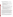To be considered for the Sustainable Skylines Initiative, applicants **must address one or more activities in at least five of the following seven categories**:

- 1. central city livability (e.g., decrease amount of heated surfaces, increase permeability of surfaces)
- 2. stationary and area sources (e.g., conduct pollution prevention audits for small business to reduce energy consumption and environmental impacts)
- 3. energy and climate (e.g., reduction of landscape equipment emissions through sustainable lawn irrigation and turf management)
- 4. land use transportation strategies (e.g., increased public transportation, reduction in vehicle miles traveled, converting parking lots to parks)
- 5. diesel engines (e.g., reduction in idling, retrofits)
- 6. green building and development (e.g., link green building techniques with affordable housing initiatives)
- 7. off-road sources (e.g., small off-road equipment replacement & retrofits)

Even though all applicants must address at least five project categories as noted above to be eligible for the SSI, funding under this cooperative agreement can **not** be used for implementation. Funding **can** be used for such activities as:

- o investigating different environmental problems in the project location and preparing education materials for the community regarding the result of the investigations;
- o analyzing the problem in the project location and their relative risks and potential solutions;
- o finding additional partners and resources to make the project self-sustaining;
- o evaluating and tracking the progress of the project, measuring results, and communicating lessons learned with their and other communities;
- o convening, facilitating and providing information to the stakeholder group, community or general public about any of the above activities and their results.

Since the SSI provides a framework for achieving sustainability which focuses on stakeholder partnerships and involvement, EPA does not expect the applications to describe fully planned activities for five of the seven categories listed above. However, applications must identify the five categories for which they anticipate there to be an issue and describe the types of activities to be conducted to address those issues. Applications that do **not** address at least one activity in at least five categories will be rejected. Applicants are not limited to the examples of activities cited for each of the seven project categories. Applicants may submit more than one application as long as their project content is different. Each application will be reviewed and evaluated on an individual basis. Not all of the activities described in the application will be funded through this cooperative agreement. The premise of this initiative is that supplemental funding could come from the various stakeholders and initiative partners such as state or local governmental agencies, community, and/or private partners. The application should explicitly state which of the activities described are requesting funding at this time from this assistance agreement.

The key to SSI is the process of forming and maintaining community partnerships at both the private and public level. The overall goal of the SSI is to work in partnership with the funded entity to create a locally-led, self-sustaining, community-based partnership that will continue to improve the local environment, even after the cooperative agreement ends. The partnership needs to include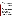representatives and stakeholders from all "sides" of the community: residents, local businesses, and local governments. All partners and stakeholders work together to collect information, disseminate information out to the community, collect feedback, and use a consensus-based process to made decisions. SSI requires that all areas be willing to work together and commit to collaborating to achieve long-term sustainability. To achieve success, it is important that the area seek community-participation and increase community-awareness.

EPA will make available to all recipients a resource pool of technical support and information such as initiative brochures; database consisting of various sustainable activities and the resource needs to implement the activities; "how-to" manual on how to get the project started, recruit and form partnerships, market and hold press events; and a network consisting of other EPA and federal offices which can provide additional technical support.

EPA will make available to all recipients a resource pool of technical support and information including:

- $\triangleright$  Information about EPA and other federal programs: This includes support and information from not only EPA but other federal programs that have joined the initiative. This allows for better collaboration and networking between federal programs and local communities.
- ¾ Technical Support: The recipient will receive both EPA headquarters and regional support from staff that will be available to the partnership group. This could include scientific data and information such as access to databases, models and other forms of support to evaluate and reduce risks, and support as to how to develop an action plan, select individual activities, form partnerships, consensus-building, communication and marketing strategies, establish programmatic goals which can be measured, and become self-sustaining long after the agreement ends.
- $\triangleright$  Training: All SSI recipients will be required to attend one annual training each year of the grant (a maximum of one training each year). Some of the training objectives will be to help the recipient with strategic planning, developing an action plan, cooperative agreement management and reporting requirements, sharing of ideas and lessons learned from pilot projects, and opportunities to increase awareness and networking with other community representatives. **Expenses for annual training (i.e., travel, lodging, etc.) must be included in the applicant's budget narrative proposal (see Section IV.D.2(h)). The first training will occur in Dallas, Texas March, 2009. (Training locations for 2010 and 2011 have yet to be determined, applicants can include travel cost estimates for these).**
- $\triangleright$  Communication and Coordination: All recipients are connected together through regular emails, conference calls, and newsletters, so the areas can provide informal and formal support to each other, share ideas and experiences and help each other solve problems. Being able to share information, build upon lessons learned, and network with various federal and state/local agencies is one of the keys of the Sustainable Skylines Initiative.

## **C. EPA Strategic Plan Linkage, Anticipated Outcomes/Outputs and Performance Measures**

**1. Linkage to EPA Strategic Plan***.* This project supports progress towards EPA Strategic Plan Goal 1 (Clean Air and Global Climate Change), Objective 1.1 (Healthier Outdoor Air), Sub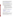Objectives 1.1.1 (More People Breathing Clean Air), 1.1.2 (Reduced Risk from Toxic Air Pollutants), Objective 1.2 (Healthier Indoor Air) and Objective 1.4 (Radiation). This project supports EPA efforts "to protect human health and the environment by attaining and maintaining health-based air-quality standards and reducing the risk from toxic air pollutants." ([http://www.epa.gov/cfo/plan/2006/entire\\_report.pdf\)](http://www.epa.gov/cfo/plan/2006/entire_report.pdf)

**2. Outputs.** The term "output" means an environmental activity, effort, and/or associated work product related to an environmental goal and objective that will be produced or provided over a period of time or by a specified date. Outputs may be quantitative or qualitative but must be measurable during an assistance agreement funding period.

Expected outputs from the activities to be funded under this announcement will vary. Where applicable, emission reductions from the demonstration project should be quantified and compared to emission reductions that would have been achieved through the use of proven existing control technologies. As a minimum, expected outputs are:

- o Creation of a broad-based locally-led stakeholder group that has an understanding of and has prioritized the list of risks and environmental pollutants in their project location and engaged the community through a consensus process.
- o The project location reaches a consensus of the selection of partnership programs and /or other approaches to address the project location's risks and these programs and approaches are implemented to reduce risks in the project location. While different locations will select different partnership programs, they will be expected to achieve the specific outputs/outcomes of the programs they chose.

To estimate *some* of the anticipated *outputs* of your application, EPA highly encourages you to use one or more of the models described below where possible:

- EPA Greenhouse Gas Emissions Quantifier: **[http://epa.gov/cleanenergy/energy](http://epa.gov/cleanenergy/energy-resources/calculator.html)[resources/calculator.html](http://epa.gov/cleanenergy/energy-resources/calculator.html)**
- Energy Star, WaterSense, WasteWise and other quantification tools: **<http://epa.gov/energy>**
- EPA Diesel Emissions Quantifier **<http://cfpub.epa.gov/quantifier/>**

Progress reports and a final report will also be a required output, as specified in Section VI.D of this announcement, "Reporting Requirement."

**3. Outcomes.** The term "outcome" means the result, effect or consequence that will occur from carrying out an environmental program or activity that is related to an environmental or programmatic goal or objective. Outcomes may be environmental, behavioral, healthrelated, or programmatic in nature, but must be quantitative. They may not necessarily be achievable within an assistance agreement funding period.

Examples of environmental outcomes expected from the projects to be funded under this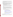announcement may include but are not limited to the following: increased coordination of city and regional sustainability efforts; identification and implementation of priority projects, and increased understanding of the environmental or economic effectiveness of the demonstrated technology or best practice.

**4. Performance Measures**. The applicant must develop performance measures they expect to achieve through the proposed activities. *The performance measures should focus on specific, quantitative actions related to the applicant's activities, outputs, and outcomes*. These performance measures will help gather insights and will be the mechanism to track progress concerning successful process and outcome strategies and will provide the basis for developing lessons to inform future recipients.

a. Developing Performance Measures for your Proposed Work Plan The following are questions to consider when developing output and outcome measures of quantitative and qualitative results:

1) What are the measurable short term and longer term results the project will achieve? 2) How does the plan measure progress in achieving the expected results (including outputs and outcomes) and how will the approach use resources effectively and efficiently?

One tool that may be useful in developing output and outcome measures is a "logic model." A logic model is a visual model that shows the relationship between your work and your desired results. It communicates the performance story of your project, focusing attention on the most important connections between your actions and the results. A logic model can serve as a road map for the project, explaining where you are and where you hope to end up.

The following web sites provide information on how to develop a logic model and how to use a logic model as a tool to develop project measures:

- $\triangleright$  The Kellogg Foundation guide to developing logic models [www.wkkf.org/Pubs/Tools/Evaluation/Pub3669.pdf](http://www.wkkf.org/Pubs/Tools/Evaluation/Pub3669.pdf)
- $\triangleright$  EPA Region 10 web page on measurement information and tools [http://yosemite.epa.gov/R10/ECOCOMM.NSF/webpage/measuring+envir](http://yosemite.epa.gov/R10/ECOCOMM.NSF/webpage/measuring+environmental+results) [onmental+results](http://yosemite.epa.gov/R10/ECOCOMM.NSF/webpage/measuring+environmental+results)
- $\triangleright$  University of Wisconsin Extension Service online course on enhancing performance using logic models [www.uwex.edu/ces/Imcourse](http://www.uwex.edu/ces/Imcourse)
- ¾ National Fish and Wildlife Foundation logic model framework examples at [www.nfwf.org/evaluation/logicframework.cfm](http://www.nfwf.org/evaluation/logicframework.cfm)

## **D. Supplementary Information.**

The statutory authority for this action is the Clean Air Act, Section 103(b)(3) which authorizes the award of grants for research, investigations, experiments, demonstrations, surveys, and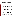studies related to the causes, effects (including health and welfare effects), extent, prevention, and control of air pollution. Demonstrations must involve new or experimental technologies, methods, or approaches, where the results of the project will be disseminated so that others can benefit from the knowledge gained in the demonstration project. A project that is accomplished through the performance of routine, traditional, or established practices, or a project that is simply intended to carry out a task rather than transfer information or advance the state of knowledge, however worthwhile the project might be, is not considered a demonstration project. Implementation activities are not eligible for funding under this announcement.

### **II. AWARD INFORMATION**

### **A. What is the amount of funding available?**

The total estimated funding expected to be available for award under this competitive opportunity is approximately \$250,000.

### **B**. **Partial Funding**

In appropriate circumstances, EPA reserves the right to partially fund applications by funding discrete portions or phases of proposed projects. If EPA decides to partially fund an application, it will do so in a manner that does not prejudice any applicants or affect the basis upon which the application or portion thereof, was evaluated and selected for award, and therefore maintains the integrity of the competition and selection process.

### **C. How many agreements will EPA award in this competition?**

EPA anticipates award of up to 5 cooperative agreements resulting from this solicitation, subject to availability of funding and the quality of applications received, ranging in value from \$50,000 to \$125,000. The value of each award will depend on the specific activity described in the application, the quality of the evaluated applications and the availability of funds. In addition, EPA reserves the right to make additional awards under this announcement, consistent with Agency policy, if additional funding becomes available after the original selections. Any additional selections for awards will be made no later than six months from the date of original selection date. EPA reserves the right to reject all applications and make no awards under this announcement or make fewer awards than expected.

### **D. What is the project period for awards resulting from this solicitation?**

The estimated project period for awards resulting from this solicitation will begin March 1, 2009. Proposed project periods may be up to 3 years.

## **E. Funding Type**

The funding for selected projects will be in the form of a cooperative agreement. Cooperative agreements permit substantial involvement between the EPA Project Officer and the selected applicants in the performance of the work supported. Although EPA will negotiate precise terms and conditions relating to substantial involvement as part of the award process, the anticipated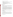substantial Federal involvement for this project will be:

- close monitoring of the successful applicant's performance to verify the results proposed by the applicant;
- collaboration during performance of the scope of work;
- in accordance with 40 CFR  $31.36(g)$ , review of proposed procurement;
- approving qualifications of key personnel (EPA will not select employees or contractors employed by the award recipient);
- review and comment on reports prepared under the cooperative agreement (the final decision on the content of reports rests with the recipient).

## **III. ELIGIBILITY INFORMATION**

### **A. Eligible Entities**

In accordance with CFDA 66.034, applications will be accepted from States, local governments, territories, Indian Tribes, and possessions of the U.S., including the District of Columbia, international organizations, public and private universities and colleges, hospitals, laboratories, other public or private non-profit institutions.

Non-profit organization, as defined by OMB Circular A-122, located at 2 CFR Part 230, means any corporation, trust, association, cooperative, or other organization which: (1) is operated primarily for scientific, educational, service, charitable, or similar purposes in the public interest; (2) is not organized primarily for profit; and (3) uses its net proceeds to maintain, improve, and/or expand its operations. For this purpose, the term "non-profit organization" excludes (i) colleges and universities; (ii) hospitals; (iii) state, local, and federally-recognized Indian tribal governments; and (iv) those non-profit organizations which are excluded from coverage of this part in accordance with § 230.20(c)

Non-profit organizations described in Section  $501(c)(4)$  of the Internal Revenue Code that engage in lobbying activities as defined in Section 3 of the Lobbying Disclosure Act of 1995 are not eligible to apply.

### **B. Cost Sharing or Matching**

A cost-sharing or matching requirement is not required, as a condition of eligibility, for applications selected for award.

However, applicants proposing a voluntary financial or in-kind commitment of resources may improve their scoring under the Leveraging Resources evaluation criterion of this solicitation *(Refer to Section V.A Evaluation Criteria).* Voluntary contributions of funds and/or in kind contributions of resources, if accepted by EPA, will be treated as cost shares under 40 CFR 30.24.

## **C. Threshold Eligibility Criteria**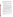These are requirements that if not met by the time of application submission will result in elimination of the application from consideration for funding. Only applications from eligible entities (see above) that meet all of the threshold criteria will be evaluated against the ranking factors in Section V of this announcement. Applicants deemed ineligible for funding consideration as a result of the threshold eligibility review will be notified within 15 calendar days of the ineligibility determination.

1. a. Applications must substantially comply with the application submission instructions and requirements set forth in Section IV of this announcement or else they will be rejected. However, where a page limit is expressed in Section IV with respect to the application or parts thereof (e.g., narrative proposal), pages in excess of the page limitation will not be reviewed.

b. In addition, applications must be received by the EPA or received through [www.grants.gov,](http://www.grants.gov__/) as specified in Section IV of this announcement, on or before the application submission deadline published in Section IV of this announcement. Applicants are responsible for ensuring that their application reaches the designated person/office specified in Section IV of the announcement by the submission deadline.

c. Applications received after the submission deadline will be considered late and returned to the sender without further consideration unless the applicant can clearly demonstrate that it was late due to EPA mishandling. For hard copy submissions, where Section IV requires application receipt by a specific person/office by the submission deadline, receipt by an agency mailroom is not sufficient. Applicants should confirm receipt of their application with Yvonne W. Johnson (919-541-3921 or [Johnson.yvonnew@epa.gov](mailto:Johnson.yvonnew@epa.gov)) as soon as possible after the submission deadline—failure to do so may result in your application not being reviewed.

- 2. Applications must support Goal 1 "*Clean Air and Global Climate Change", "Protect and improve the air so it is healthy to breathe and risks to human health and the environment are reduced. Reduce greenhouse gas intensity by enhancing partnerships with businesses and other sectors"* of EPA's Strategic Plan.
- 3. Applications must not be for the purpose of routine program implementation, implementation of routine environmental protection or restoration measures, meeting any legal mandate (such as federal, state or local regulations or settlement agreements), land acquisition, purchase of vehicles, or completion of work which was to have been completed under a prior grant or cooperative agreement.
- 4. A project must be in the nature of research, investigation, study, experiment or demonstration designed to advance the state of the knowledge in the chosen project location.
- 5. Applications must address at least one activity in at least five of the seven project categories as stated in Section I.B Scope of Work.
- 6. Applicants must identify performance measures for each proposed activity as stated in Section I.C.4.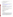7. Hard copy applications will only be accepted via an express delivery service. EPA will not accept applications sent via U.S. Postal Service, FAX, or email.

## **IV. APPLICATION AND SUBMISSION INFORMATION**

### **A. How to Obtain Application Package**

EPA encourages applicants to obtain application materials and apply electronically through [http://www.grants.gov](http://www.grants.gov/).

Applicants may also download individual grant application forms from EPA's Office of Grants and Debarment website at: [http://www.epa.gov/ogd/grants/how\\_to\\_apply.htm](http://www.epa.gov/ogd/grants/how_to_apply.htm) or <http://www.epa.gov/ogd/AppKit/application.htm>

To obtain a hard copy of materials, please send an email or written request to the Agency contact listed in Section VII of this announcement.

### **B. Mode of Application Submission**

Applicants have the option to submit their applications in *one of two ways*: 1) Hard copy via express delivery, or 2) electronically via <http://www.grants.gov/>. Applications will not be accepted via email, fax or U.S. Postal Service. All applications must be prepared, and include the information, as described below regardless of mode of transmission.

### **1. Hard Copy Submission**

Please provide one original of the application package (including signed and completed SF-424 and SF-424A forms) and four copies, preferably double-sided and not in binders or spiral binding, no later than **December 17, 2008, 4:00 p.m., EST**. to:

Hard Copy via Express Delivery (FedEx, UPS, DHL, etc.) Yvonne W. Johnson U.S. Environmental Protection Agency OAQPS/OID/CTPG (C304-03) 4930 Page Road

 RTP, NC 27709 Phone: (919) 541–3921

### **2. Grants.gov Submission**

Your organization's AOR (Authorized Representative) *must* submit your complete application package as described below, electronically to EPA through Grants.gov ([www.grants.gov](http://www.grants.gov/)) no later than **11:59 p.m. EST on December 17, 2008.** The electronic submission of your application must be made by an official representative of your institution who is registered with Grants.gov and is authorized to sign applications for Federal assistance. For more information, go to [www.grants.gov](http://www.grants.gov/) and click on "Get Registered" on the left side of the page. The r**egistration process may take a week or longer to complete***.* If not already registered, we encourage your organization to begin the registration process as soon as possible.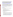To begin the application process under this grant announcement, go to www.grants.gov and click on the "Apply for Grants" tab on the left side of the page. Then click on "Apply Step 1: Download a Grant Application Package" to download the compatible Adobe viewer and obtain the application package. **To apply through grants.gov you must use Adobe Reader applications and download the compatible Adobe Reader version (Adobe Reader applications are available to download for free on the Grants.gov website. For more information on Adobe Reader please visit the Help section on grants.gov at**  www.grants.gov/help/help.jsp or www.grants.gov/aboutgrants/program\_status.jsp).

Once you have downloaded the viewer, you may retrieve the application package by entering the Funding Opportunity Number, **EPA-OAR-OAQPS-08-08**, or the CFDA number that applies to the announcement (CFDA 66.034), in the appropriate field. You may also be able to access the application package by clicking on the Application button at the top right of the synopsis page for this announcement on www.grants.gov (to find the synopsis page, go to www.grants.gov and click on the "Find Grant Opportunities" button on the left side of the page and then go to Search Opportunities and use the Browse by Agency feature to find EPA opportunities).

If you have any questions regarding Grants.gov, please email the Grants.gov Contact Center at [support@grants.gov](mailto:support@grants.gov_) or call 1-800-518-4726.

## **Application Materials**

An application package *must* include all Grant Application Forms (as listed below) and a comprehensive Narrative Proposal (as described in section IV.C of the announcement):

## **I. Grant Application Forms**

- Standard Form 424, *Application for Federal Assistance*
- Standard Form 424A, *Budget Information Non-Construction Programs*
- Standard Form 424B, *Non-Construction Programs*
- Standard Form LLL, *Pre-Award Disclosure of Lobbying Activities*
- EPA Form 4700-4, *Pre-Award Compliance Review Report for All Applicants Requesting Federal Financial Assistance*
- EPA Form 5700-54, *Key Contacts Form*

### **II. Narrative Proposal**

The narrative proposal should be readable in Adobe Acrobat PDF for Windows and consolidated into a single file (formatted for  $8\frac{1}{2}$ " x 11" document using no smaller than 11 point New Times Roman font with 1" margins) and be prepared in accordance with Section IV.C of the announcement. Do not zip files. Zipped files will not be accepted.

The **Grant Application Forms** listed above listed under Application Materials should appear in the "Mandatory Documents" box on the http://www.grants.gov/ "Grant Application Package" page. Click on the appropriate forms and then click "Open Form" below the box. The fields that must be completed will be highlighted in yellow.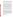Optional fields and completed fields will be displayed in white. If you enter an invalid response or incomplete information in a field, you will receive an error message. When you have finished filling out each form, click "Save." When you return to the electronic "Grant Application Package" page, click on the form you just completed, and then click on the box that says, "Move Form to Submission List." This action will move the document over to the box that says, "Mandatory Completed Documents for Submission."

The **Narrative Proposal**, will require attachment of electronic files. Prepare your narrative proposal as described in Section IV.C of this announcement and save the document(s) to your computer as a PDF file. When you are ready to attach your narrative proposal to the "grant application package", click on "Project Narrative Attachment Form," and open the form. Click "Add Mandatory Project Narrative File," and then attach your narrative proposal (previously saved to your computer) using the browse window that appears. You may then click "View Mandatory Project Narrative File" to view it. Enter a brief descriptive title of your project in the space beside "Mandatory Project Narrative File Filename;" the file name should be no more than 40 characters long. If there other attachments that you would like to submit to accompany your application, you may click "Add Optional Project Narrative File" and proceed as before. When you have finished attaching the necessary documents, click "Close Form." When you return to the "Grant Application Package" page, select the "Project Narrative Attachment Form" and click "Move Form to Submission List." The form should now appear in the box that says, "Mandatory Completed Documents for Submission."

Once your entire application package (signed grant application forms and a complete narrative proposal) has been saved, send it to your Authorized Representative (AOR) for submission to U.S. EPA via www.grants.gov. Please advise your AOR to close all other software programs before attempting to submit the application package through grants.gov.

In the "Application Filing Name" box, your AOR should enter your organization's name (abbreviate where possible), the fiscal year (e.g., FY09), and the grant category (e.g., Assoc Prog Supp). The filing name should not exceed 40 characters. From the "Grant Application Package" page, your AOR may submit the application package by clicking the "Submit" button that appears at the top of the page. The AOR will then be asked to verify the agency and funding opportunity number for which the application package is being submitted. If problems are encountered during the submission process, the AOR should reboot their computer before trying to submit the application package again. [It may be necessary to turn off the computer (not just restart it) before attempting to submit the package again.] **If the AOR continues to experience submission problems, they may contact grants.gov for assistance by phone at 1-800-518-4726** or email at [www.grants.gov/help/help.jsp](http://www.grants.gov/help/help.jsp).

Application packages submitted via www.grants.gov will be time/date stamped electronically.

### **C. Content of Application Package Submission**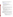All application submissions, regardless of mode of submission, must contain completed and signed application forms, as well as a Narrative Proposal, as described below.

**Grant Application Forms.** Please be sure to include organization fax number and email address

in Block 5 of the Standard Form SF 424. The forms are available at http://www.epa.gov/ogd/forms/forms.htm.

- Standard Form 424, *Application for Federal Assistance*
- Standard Form 424A, *Budget Information Non-Construction Programs*
- Standard Form 424B, *Non-Construction Programs*
- Standard Form LLL, *Pre-Award Disclosure of Lobbying Activities*
- EPA Form 4700-4, *Pre-Award Compliance Review Report for All Applicants Requesting Federal Financial Assistance*
- EPA Form 5700-54, *Key Contacts Form*

## **Narrative Proposal**

The Narrative Proposal **(including sections 1-3 below)** cannot exceed a maximum of 15 singlespaced typewritten pages, including the Summary Page. Supporting materials, such as resumes and letters of support, can be submitted as attachments and are not included in the 15-page limit.

- **1. Summary Information Page** (recommended not to exceed one page)
	- a. Project Title
	- b. Applicant Information. Include applicant (organization) name, address, contact person, phone number, fax and e-mail address.
	- c. Funding Requested. Specify the amount you are requesting from EPA.
	- d. Total Project Cost. Specify total cost of the project. Identify funding from other sources, including cost share or in-kind resources.
	- e. Project period. Provide beginning and ending dates. (Projects are anticipated to begin March 1, 2009 and end no later than February 28, 2011.)
- **2. Narrative Proposal Work-Plan**

**The narrative proposal work-plan must explicitly describe how the proposed project meets the guidelines established in Sections I-III (including the threshold eligibility criteria in Section III.C) of this announcement, and must address each of the evaluation criteria set forth in Section V.** 

- **a. Project Summary/Approach:** The summary shall contain the following components:
	- Detailed project summary, description of specific actions and methods to be undertaken and the responsible institutions, including estimated timeline for each task.
	- Concise description of proposed project location
	- Description of the associated work products to be developed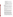- Explanation of project benefits to the public, and specifically the potential audiences served.
- Description of the roles of the applicant and partners, if any.
- Description of the applicant's organization and experience related to the proposed project.
- Description of staff expertise/qualifications, staff knowledge, and resources or the ability to obtain them, to successfully achieve the goals of the proposed project.
- Budget and estimated funding amounts for each work component/task. This section provides an opportunity for narrative description of the budget or aspects of the budget found in the SF-424A such as "other" and "contractual."

## **\*Selected applicant(s) will need to submit a copy of their current indirect cost rate that has been negotiated with a federal cognizant agency during application phase.**

- **b. Specific Environmental Outputs**: Expected outputs from the activities to be funded under this announcement will vary. Where applicable, emission reductions from the demonstration project should be quantified and compared to emission reductions that would have been achieved through the use of proven existing control technologies. For more specific information see section I.C.2.
- **c. Desired Environmental Outcomes:** Specify the expected quantitative and qualitative outcomes of the project, including how you will assess your progress in achieving these outcomes, and how you will measure and evaluate the results of your project.
- **d. Collaboration or Partnerships**: Identify all proposed partnerships and stakeholder groups that will be involved in the project and what each groups' roles will be in project staffing, funding, design and implementation. (Applicants are encouraged to submit proposed partnership letters; these letters will not be counted in the 15-page limit. See Section IV.C (4) (b) below for more information) what is correct cite for this section.
- **e. Environmental Results Past Performance:** Submit a list of federally funded assistance agreements **(assistance agreements include Federal grants and cooperative agreements but not Federal contracts)** that **your organization** performed within the last three years (no more than 5, and preferably EPA agreements**),** and describe how you documented and/or reported on whether you were making progress towards achieving the expected results (e.g., outputs and outcomes) under those agreements. If you were not making progress, please indicate whether, and how, you documented why not. In evaluating applicants under this factor in Section V, EPA will consider the information provided by the applicant and may also consider relevant information from other sources, including information from EPA files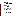and from current and prior Federal agency grantors (e.g., to verify and/or supplement the information provided by the applicant). If you do not have any relevant or available environmental results past performance information, please indicate this in the application and you will receive a neutral score for this factor under Section V. If you do not provide any response for these items, you may receive a score of 0 for this factor.

- **f. Programmatic Capability:** Submit a list of federally funded assistance agreements **(assistance agreements include Federal grants and cooperative agreements but not Federal contracts)** similar in size, scope and relevance to the proposed project that your organization performed within the last three years (no more than 5, and preferably EPA agreements) and describe (i) whether, and how, you were able to successfully complete and manage those agreements and (ii) your history of meeting the reporting requirements under those agreements including submitting acceptable final technical reports. In evaluating applicants under these factors in Section V, EPA will consider the information provided by the applicant and may also consider relevant information from other sources, including information from EPA files and from current and prior Federal agency grantors (e.g., to verify and/or supplement the information provided by the applicant). If you do not have any relevant or available past performance or reporting information, please indicate this in the application and you will receive a neutral score for these factors under Section V. If you do not provide any response for these items, you may receive a score of 0 for these factors.
- **g. Leveraged Resources**: Demonstrate how you will coordinate the use of EPA funding with other Federal and/or non Federal sources of funds to leverage additional resources to carry out the proposed project(s) and/or that EPA funding will complement activities relevant to the proposed project(s) carried out by the applicant with other sources of funds or resources.

Leveraged funding or other resources need not be for eligible and allowable project costs under the EPA assistance agreement unless the Applicant proposes to provide a voluntary cost share or match. If EPA accepts an offer for a voluntary cost share/match/participation, applicants must meet their matching/sharing/participation commitment as a condition of receiving EPA funding. Applicants may use their own funds or other resources for voluntary match/cost share/participation if the standards at 40 CFR 30.23 or 40 CFR 31.24, as applicable, are met. Only eligible and allowable costs may be used for voluntary matches/cost shares/participation. Other Federal grants may not be used as voluntary matches or cost shares without specific statutory authority.

**3. Budget**: Provide a detailed itemized budget application using the **example** below, justifying the expenses for each of the following categories being performed within the grant/project period. Indicate what portion of the cost will be funded by EPA grant, and what portion will be paid by the applicant or other partners. Break out budget by year.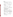### **Budget Example:**

a. Personnel:

| Indicate salaries and wages, by job title of all individuals who will be |                            |                    |
|--------------------------------------------------------------------------|----------------------------|--------------------|
| supplemented with these funds. For example:                              | <b>EPA Grant</b> Applicant |                    |
| * Fleet Manager @ $600$ /wk x 12 weeks =<br>(or)                         | \$7,200                    | \$0                |
| * Fleet Manager @ $$15/hr$ x 40 hrs/wk x 12/wks = \$0<br>$Total =$       | \$7,200                    | \$7,200<br>\$7,200 |
|                                                                          |                            |                    |

b. Fringe Benefits:

| Indicate all mandated and voluntary benefits to be supplemented with these |  |                            |  |
|----------------------------------------------------------------------------|--|----------------------------|--|
| funds. For example:                                                        |  | <b>EPA Grant</b> Applicant |  |
| * Health Insurance-                                                        |  |                            |  |

| $Total =$                           | \$900 | \$0 |
|-------------------------------------|-------|-----|
| 1 FTE @ $$40/mo \times 12/months =$ | \$480 | \$0 |
| $\ast$ Dental –                     |       |     |
| 1 FTE @ $$35/month x 12/months =$   | \$420 | \$0 |
| 11001011 11190101100                |       |     |

c. Travel:

Indicate number of individuals traveling, destination, number of trips, and reason for travel. For example: **EPA Grant Applicant** 

|                                                   | \$405<br>$Total =$ | \$360 |
|---------------------------------------------------|--------------------|-------|
| Hotel for 1 night for 1 person $=$                | \$75               | \$0   |
| Per diem for 2 days @ $$40/day$ for 1 person =    | \$80               | \$0   |
| Air Fare for 1 person to Chicago, $IL =$          | \$250              | \$0   |
| *Strategic Meeting with Co-applicants             |                    |       |
| Local Travel Mileage - 1000 miles x $$0.36 =$     | \$0                | \$360 |
| * Site Visit to Regional Transportation Warehouse |                    |       |

d. Equipment:

e.

Identify items to be purchased such as air quality related instruments used in support of work plan objectives. Provide an estimated cost for each item. Make sure you can support your cost estimate. EPA policy defines equipment as items costing \$5,000 or greater. Indicate if your organization's definition differs. For example: **EPA Grant Applicant** 

| * 5 Diesel Particulate Filters @ \$7,000/each                                                          |           |                            | \$35,000 | \$0 |
|--------------------------------------------------------------------------------------------------------|-----------|----------------------------|----------|-----|
|                                                                                                        | $Total =$ | \$35,000                   | \$0      |     |
| Supplies:                                                                                              |           |                            |          |     |
| Indicate any items to be purchased that will be used in support of air project<br>workplan objectives. |           |                            |          |     |
| For example:                                                                                           |           | <b>EPA Grant</b> Applicant |          |     |
| * 50 DOC and anti-idling pamphlets                                                                     |           |                            |          |     |

| for community members $@$ \$2 each | \$0 | \$100 |
|------------------------------------|-----|-------|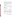|                                                                                                                                                                                                                                                                                                                                                                                                             | *Copying and postage costs                                                                                             |                    | \$0        | \$100            |                  |
|-------------------------------------------------------------------------------------------------------------------------------------------------------------------------------------------------------------------------------------------------------------------------------------------------------------------------------------------------------------------------------------------------------------|------------------------------------------------------------------------------------------------------------------------|--------------------|------------|------------------|------------------|
|                                                                                                                                                                                                                                                                                                                                                                                                             | f. Contractual:                                                                                                        | $Total =$          | <u>\$0</u> | <u>\$200</u>     |                  |
| Indicate any proposed contractual items that are reasonable and necessary to<br>carry out the workplan objectives. Please note that contracts must be competed<br>in accordance with 40 CFR 30.44 or 31.36, as applicable. Examples of<br>contractual items include training from equipment manufacturer, installation of<br>retrofit equipment by $3^{rd}$ party, etc. For example:                        |                                                                                                                        |                    |            |                  |                  |
|                                                                                                                                                                                                                                                                                                                                                                                                             |                                                                                                                        |                    |            | <b>EPA Grant</b> | Applicant        |
|                                                                                                                                                                                                                                                                                                                                                                                                             | * Fleet mechanic training on retrofitting,<br>anti-idling workshop 50 mechanics @ \$100/each<br>* Installation of DOCs |                    |            | \$5000           | \$0              |
|                                                                                                                                                                                                                                                                                                                                                                                                             | 20 units @ \$75/each                                                                                                   |                    |            | \$0              | \$1,500          |
|                                                                                                                                                                                                                                                                                                                                                                                                             | [ $$15.00$ per sample = 15 x $52 = $780$ ]                                                                             | $Total =$          |            | \$5,000          | <u>\$1,500</u>   |
|                                                                                                                                                                                                                                                                                                                                                                                                             | g. Other:                                                                                                              |                    |            |                  |                  |
|                                                                                                                                                                                                                                                                                                                                                                                                             | Indicate general (miscellaneous) expenses necessary to carry out the objectives<br>stated in the workplan.             |                    |            |                  |                  |
|                                                                                                                                                                                                                                                                                                                                                                                                             | For example:                                                                                                           |                    |            | <b>EPA Grant</b> | <b>Applicant</b> |
|                                                                                                                                                                                                                                                                                                                                                                                                             | * Office needs (postage, phone, fax, etc.) =                                                                           |                    |            | \$150            | \$150            |
|                                                                                                                                                                                                                                                                                                                                                                                                             | * Office space<br>(utilized for project-related activities such                                                        |                    |            |                  |                  |
|                                                                                                                                                                                                                                                                                                                                                                                                             | as installation, etc.)                                                                                                 |                    |            |                  |                  |
|                                                                                                                                                                                                                                                                                                                                                                                                             | $$120/mol x 2/mol =$                                                                                                   |                    |            | \$240            | \$0              |
|                                                                                                                                                                                                                                                                                                                                                                                                             |                                                                                                                        | <b>Total</b>       | $=$        | <u>\$390</u>     | <u>\$150</u>     |
|                                                                                                                                                                                                                                                                                                                                                                                                             | h. Total Direct Charges:                                                                                               |                    |            |                  |                  |
|                                                                                                                                                                                                                                                                                                                                                                                                             | Summary of all costs associated with each object-class category.                                                       |                    |            | <b>EPA Grant</b> | <b>Applicant</b> |
|                                                                                                                                                                                                                                                                                                                                                                                                             | $*$ Total =                                                                                                            |                    |            | \$29,895         | <u>\$9,410</u>   |
| $i$ .<br><b>Total Indirect Costs:</b><br>Organization must provide documentation of a federally approved indirect cost<br>rate (percentage) reflective of proposed project/grant period. If the organization<br>has no approved rate, the applicant should indicate if organization is in<br>negotiations with their cognizant federal agency to obtain a new rate.<br><b>EPA Grant</b><br><b>Applicant</b> |                                                                                                                        |                    |            |                  |                  |
|                                                                                                                                                                                                                                                                                                                                                                                                             | * IDC Rate is 10% of total direct charges =                                                                            |                    |            | \$3,895          | <u>\$0</u>       |
|                                                                                                                                                                                                                                                                                                                                                                                                             |                                                                                                                        |                    |            |                  |                  |
|                                                                                                                                                                                                                                                                                                                                                                                                             | j. Total Cost:                                                                                                         |                    |            |                  |                  |
|                                                                                                                                                                                                                                                                                                                                                                                                             | Indicate overall figure of all direct and indirect costs. For example:                                                 |                    |            | <b>EPA Grant</b> | Applicant        |
|                                                                                                                                                                                                                                                                                                                                                                                                             |                                                                                                                        | $*$ Total Budget = |            | \$52,790         | <u>\$9,410</u>   |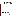**\*Management Fees:** When formulating budgets for applications, applicants must not include management fees or similar charges in excess of the direct costs and indirect costs at the rate approved by the applicants cognizant audit agency, or at the rate provided for by the terms of the agreement negotiated with EPA. The term "management fees or similar charges" refers to expenses added to the direct costs in order to accumulate and reserve funds for ongoing business expenses, unforeseen liabilities, or for other similar costs that are not allowable under EPA assistance agreements. Management fees or similar charges may not be used to improve or expand the project funded under this agreement, except to the extent authorized as a direct cost of carrying out the scope of work.

**4. Attachments**. These are not included in the 15-page limit.

**a. Resumes.** Provide resumes or curriculum vitae for all principal investigators and any other key personnel.

**b. Support Letters.** Specifically indicate how the supporting organization(s) will assist in the project and include any letters from the state, local, or tribal agencies or other private partners agreeing to support this project.

## **D. Submission Dates and Times**

 Applications must be received by EPA on or before **December 17, 2008, 4:00 p.m., EST by hardcopy or through [www.grants.gov](http://www.grants.gov/) by 11:59 p.m., December 17, 2008**. Applications received after the closing date and time will not be considered for funding. Please see Section IV.B for specific submission instructions.

### **E. Contracts and Subawards:**

## **1. Can funding be used for the applicant to make subawards, acquire contract services or fund partnerships?**

EPA awards funds to one eligible applicant as the recipient even if other eligible applicants are named as partners or co-applicants or members of a coalition or consortium. The recipient is accountable to EPA for the proper expenditure of funds.

Funding may be used to provide subgrants or subawards of financial assistance, which includes using subawards or subgrants to fund partnerships, provided the recipient complies with applicable requirements for subawards or subgrants including those contained in 40 [CFR](http://www.gpoaccess.gov/cfr/retrieve.html_) Parts 30 or 31, as appropriate. Applicants must compete contracts for services and products, including consultant contracts, and conduct cost and price analyses to the extent required by the procurement provisions of the regulations at 40 CFR Parts 30 or 31, as appropriate. The regulations also contain limitations on consultant compensation. Applicants are not required to identify subawardees/subgrantees and/or contractors (including consultants) in their application/application. However, if they do, the fact that an applicant selected for award has named a specific subawardee/subgrantee, contractor, or consultant in the application/application EPA selects for funding does not relieve the applicant of its obligations to comply with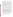subaward/subgrant and/or competitive procurement requirements as appropriate. Please note that applicants may not award sole source contracts to consulting, engineering or other firms assisting applicants with the application solely based on the firm's role in preparing the application/application.

Successful applicants cannot use subgrants or subawards to avoid requirements in EPA grant regulations for competitive procurement by using these instruments to acquire commercial services or products from for-profit organizations to carry out its assistance agreement. The nature of the transaction between the recipient and the subawardee or subgrantee must be consistent with the standards for distinguishing between vendor transactions and subrecipient assistance under Subpart B Section .210 of [OMB Circular A-133](http://www.whitehouse.gov/omb/circulars/a133/a133.html_) , and the definitions of subaward at 40 CFR 30.2(ff) or subgrant at 40 CFR 31.3, as applicable. EPA will not be a party to these transactions. Applicants acquiring commercial goods or services must comply with the competitive procurement standards in 40 CFR Part 30 or 40 CFR Part 31.36 and cannot use a subaward/subgrant as the funding mechanism.

### **2. How will an applicant's proposed subawardees/subgrantees and contractors be considered during the evaluation process described in Section V of the announcement?**

Section V of the announcement describes the evaluation criteria and evaluation process that will be used by EPA to make selections under this announcement. During this evaluation, except for those criteria that relate to the applicant's own qualifications, past performance, and reporting history, the review panel will consider, if appropriate and relevant, the qualifications, expertise, and experience of:

(i) an applicant's named subawardees/subgrantees identified in the application/application if the applicant demonstrates in the application/application that if it receives an award that the subaward/subgrant will be properly awarded consistent with the applicable regulations in 40 CFR Parts 30 or 31. For example, applicants must not use subawards/subgrants to obtain commercial services or products from for profit firms or individual consultants. (ii) an applicant's named contractor(s), including consultants, identified in the application/application if the applicant demonstrates in its application/application that the contractor(s) was selected in compliance with the competitive Procurement Standards in 40 CFR Part 30 or 40 CFR 31.36 as appropriate. For example, an applicant must demonstrate that it selected the contractor(s) competitively or that a proper non-competitive sole-source award consistent with the regulations will be made to the contractor(s), that efforts were made to provide small and disadvantaged businesses with opportunities to compete, and that some form of cost or price analysis was conducted. EPA may not accept sole source justifications for contracts for services or products that are otherwise readily available in the commercial marketplace.

EPA will not consider the qualifications, experience, and expertise of named subawardees/subgrantees and/or named contractor(s) during the application/application evaluation process unless the applicant complies with these requirements.

**F. Confidential Business Information**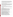In accordance with 40 CFR 2.203, applicants may claim all or a portion of their application as confidential business information. EPA will evaluate confidential claims in accordance with 40 CFR Part 2. Applicants must clearly mark applications or portions of applications they claim as confidential. If no claim of confidentiality is made, EPA is not required to make the inquiry to the applicant otherwise required by 40 CFR 2.204 (c)(2) prior to disclosure. Note that under Public Law No. 105- 277, data produced under an award is subject to the Freedom of Information Act.

## **G. Pre-Application Assistance and Communications**

In accordance with EPA's Assistance Agreement Competition Policy (EPA Order 5700.5A1), EPA staff will not meet with individual applicants to discuss draft applications, provide informal comments on draft applications, or provide advice to applicants on how to respond to ranking criteria. Applicants are responsible for the contents of their applications. However, EPA will respond to questions in writing from individual applicants regarding threshold eligibility criteria, administrative issues related to the submission of the application, and requests for clarification about the announcement.

## **V. APPLICATION REVIEW INFORMATION**

Only those applications that meet the threshold eligibility criteria in Section III.C will be evaluated according to the criteria set forth below. Applicants should directly and explicitly address these criteria as part of their application submittal. Each application will be rated under a points system, with a total of 100 points possible.

## **A. Evaluation Criteria**

| Criteria                                                                                    | <b>Points</b>   |
|---------------------------------------------------------------------------------------------|-----------------|
| 1. Project Summary/Approach: Under this criterion, the Agency will evaluate                 |                 |
| the following factors: (i) $(15 \text{ pts})$ the extent and quality to which the narrative |                 |
| proposal includes a well-conceived strategy for addressing all of the requirements          | 35 <sub>1</sub> |
| in Section I, Part B (Scope of Work) and Part C (EPA Strategic Plan Linkage                 |                 |
| and Anticipated Outcomes/Outputs), (ii) (10 pts) the extent and quality to which            |                 |
| the narrative proposal's goals are innovative but realistic and will be actually            |                 |
| implemented by project end, (iii) (10 pts) whether the narrative proposal sets forth a      |                 |
| reasonable time schedule for the execution of the tasks associated with the                 |                 |
| project(s).                                                                                 |                 |
| 2. Environmental Results—Outcomes and Outputs: Under this criterion, the                    |                 |
| Agency will evaluate: (i) $(10 \text{ pts})$ the effectiveness of the applicant's plan for  |                 |
| tracking and measuring its progress toward achieving expected project outputs and           | 15              |
| outcomes, including those identified in <b>Section I</b> of this announcement, (ii) (5 pts) |                 |
| the potential for the project to achieve multi-pollutant reductions.                        |                 |
| 3. Past Performance--Programmatic Capability and Reporting on                               |                 |
| <b>Environmental Results:</b> Under this criterion, the Agency will evaluate the            |                 |
| applicant's technical ability to successfully complete and manage the proposed              |                 |
| project taking into account the applicants: $(i)$ (10 pts) past performance in              |                 |
| successfully completing and managing federally funded assistance agreements                 |                 |
| (assistance agreements include Federal grants and cooperative agreements but                |                 |
| not Federal contracts) similar in size, scope, and relevance to the proposed project        |                 |
| performed within the last 3 years, (ii) (5 pts) history of meeting reporting                |                 |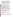| requirements on federally funded assistance agreements (assistance agreements<br>include Federal grants and cooperative agreements but not Federal contracts)<br>similar in size, scope, and relevance to the proposed project performed within the<br>last 3 years and submitting acceptable final technical reports under those<br>agreements, and (iii) (5 pts) past performance in documenting and/or reporting on<br>progress towards achieving the expected outcomes and outputs (e.g., results) under<br>federally funded assistance agreements (assistance agreements include Federal<br>grants and cooperative agreements but not Federal contracts) similar in size,<br>scope and relevance to the proposed project within the last 3 years; and, if such<br>progress was not made whether the documentation and/or reports satisfactorily<br>explained why not. | 20 |
|----------------------------------------------------------------------------------------------------------------------------------------------------------------------------------------------------------------------------------------------------------------------------------------------------------------------------------------------------------------------------------------------------------------------------------------------------------------------------------------------------------------------------------------------------------------------------------------------------------------------------------------------------------------------------------------------------------------------------------------------------------------------------------------------------------------------------------------------------------------------------|----|
| NOTE: In evaluating applicants under this criterion, the Agency will consider the<br>information provided by the applicant and may also consider relevant information<br>from other sources including agency files and prior/current grantors (e.g., to verify<br>and/or supplement the information supplied by the applicant). Applicants with no<br>relevant or available past performance or reporting history will receive a neutral<br>score for those elements under this criterion. A neutral score is half of the total<br>points available in a subset of possible points. If you do not provide any response<br>for these items, you may receive a score of 0 for these factors.                                                                                                                                                                                 |    |
| 4. Staff Expertise/Qualifications: (i) (5 pts) Description of staff<br>expertise/qualifications, staff knowledge, and resources or the ability to obtain them,<br>to successfully achieve the goals of the proposed project, (ii) (5 pts) and description<br>of the applicant's organization and experience relating to the proposed project.                                                                                                                                                                                                                                                                                                                                                                                                                                                                                                                              | 10 |
| 5. Budget: (i) (5 pts) Under this criterion, the Agency will evaluate the applicant's<br>whether the proposed project budget is appropriate to accomplish the proposed<br>goals, objectives, and measurable environmental outcomes, (ii) (5 pts) whether the<br>budget provides an approximation of the percentage of the budget designated for<br>each major activity.                                                                                                                                                                                                                                                                                                                                                                                                                                                                                                    | 10 |
| 6. Leveraging Resources: Under this criterion, applicants will be evaluated based<br>on the extent they demonstrate (i) how they will coordinate the use of EPA funding<br>with other Federal and/or non Federal sources of funds to leverage additional<br>resources to carry out the proposed project(s) and/or (ii) that EPA funding will<br>complement activities relevant to the proposed project(s) carried out by the<br>applicant with other sources of funds or resources.<br>Any form of proposed leveraging that is evaluated under this factor must be<br>included in the narrative proposal portion of the application and must describe how<br>the applicant will obtain the leveraged resources and what role EPA funding will<br>play in the overall project.                                                                                              | 10 |

# **B. Review and Selection Process**

Each eligible application will be evaluated, based on the criteria above, by a review team chosen to address a full range of issues associated with air quality. Each application will be given a numerical score and will be rank-ordered according to the numerical score. Preliminary funding recommendations will be provided to the Approving Official based on this ranking. *(Refer to Section V.A, Evaluation Criteria).*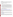## **C**. **Other Factors**

Final funding decisions will be made by the Approving Official based on the rankings and preliminary recommendation of the EPA evaluation team. In making the final funding decisions, the Approving Official may also consider programmatic priorities and geographic diversity of funds. Once final decisions have been made, a funding recommendation will be developed and forwarded to the EPA Award Official.

## **VI. AWARD ADMINISTRATION INFORMATION**

## **A. Award Notices**

Following final selections, all applicants will be notified regarding their application's status.

**1**. EPA anticipates notification to *successful* applicant(s) will be made, via electronic and postal mail by January 31, 2009. Applicants selected for funding will have an opportunity to negotiate elements of their work plan and budget and submit final applications, including all required assistance documents before the final award consistent with EPA's Competition Policy (EPA Order 5700.5A1, Section 11). The notification, which advises that the applicant's application has been successfully evaluated and recommended for award, is **not** an authorization to begin performance. The award notice signed by the EPA grants officer is the authorizing document and will be provided through postal mail. At a minimum, this process can take up to 90 days from the date of selection. The notification will be sent to the original signer of the Standard Form (SF) 424, Application for Federal Assistance.

**2**. EPA anticipates notification to *unsuccessful* applicant(s) will be made via electronic and postal mail by January 31, 2009. The notification will be sent to the original signer of the Standard Form (SF) 424, Application for Federal Assistance.

## **B. Administrative and National Policy Requirement**

A listing and description of general EPA Regulations applicable to the award of assistance agreements may be viewed at: [http://www.epa.gov/ogd/AppKit/applicable\\_epa\\_regulations\\_and\\_description.htm](http://www.epa.gov/ogd/AppKit/applicable_epa_regulations_and_description.htm).

Executive Order 12372, Intergovernmental Review of Federal Programs may be applicable to awards, resulting from this announcement. Applicants selected for funding may be required to provide a copy of their application to their [State Point of Contact](http://www.whitehouse.gov/omb/grants/spoc.html) (SPOC) for review, pursuant to Executive Order 12372, Intergovernmental Review of Federal Programs. This review is not required with the Initial Application and not all states require such a review.

# **C. DUNS Number**

All applicants **are required** to provide a Dun and Bradstreet (D&B) Data Universal Numbering System (DUNS) number when applying for a Federal assistance agreements. Applicants can receive a DUNS number, at no cost, by calling the dedicated toll-free DUNS Number request line at 1-866-705-5711, or visiting the D&B website at: <http://www.dnb.com.>

# **D. Reporting Requirement**

Quarterly progress reports and a detailed final report will be required. Quarterly reports summarizing technical progress, planned activities for next quarter and summary of expenditures are required. The final report shall be completed within 90 calendar days of the completion of the period of performance. The final report should include: summary of the project or activity, advances achieved and costs of the project or activity. In addition,